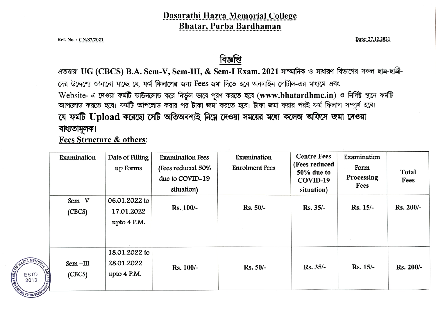### Dasarathi Hazra Memorial College Bhatar, Purba Bardhaman

Ref. No.: <u>CN/87/2021</u> **Date: 27.12.2021 Date:** 27.12.2021

<u>বিজ্ঞপ্তি</u><br>এতদ্বারা UG (CBCS) B.A. Sem-V, Sem-III, & Sem-I Exam. 2021 সাম্মানিক ও সাধারণ বিভাগের সকল ছাত্র-ছাত্রী-দের উদ্দেশ্যে জানানো যাচ্ছে যে, **ফর্ম ফিলাপের** জন্য Fees জমা দিতে হবে অনলাইন পোর্টাল-এর মাধ্যমে এবং Website- এ দেওয়া ফর্মটি ডাউনলোড করে নির্ভূল ভাবে পূরণ করতে হবে (www.bhatardhmc.in) ও নির্দিষ্ট স্থানে ফর্মটি আপলোড করতে হবে। ফর্মটি আপলোড করার পর টাকা জমা করতে হবে। টাকা জমা করার পরই ফর্ম ফিলাপ সম্পূর্ণ হবে। যে ফর্মটি Upload করেছো সেটি অতিঅবশ্যই নিমে দেওয়া সময়ের মধ্যে কলেজ অফিসে জমা দেওয়া বাধ্যতামূলক।

Fees Structure& others:

| Examination          | Date of Filling<br>up Forms                  | <b>Examination Fees</b><br>(Fees reduced 50%<br>due to COVID-19<br>situation) | Examination<br><b>Enrolment Fees</b> | <b>Centre Fees</b><br>(Fees reduced<br>50% due to<br>COVID-19<br>situation) | Examination<br>Form<br>Processing<br>Fees | Total<br>Fees |
|----------------------|----------------------------------------------|-------------------------------------------------------------------------------|--------------------------------------|-----------------------------------------------------------------------------|-------------------------------------------|---------------|
| $Sem-V$<br>(CECS)    | 06.01.2022 to<br>17.01.2022<br>upto $4$ P.M. | <b>Rs. 100/-</b>                                                              | $Rs. 50/-$                           | Rs. 35/-                                                                    | $Rs. 15/-$                                | Rs. 200/-     |
| $Sem$ -III<br>(CECS) | 18.01.2022 to<br>28.01.2022<br>upto 4 P.M.   | <b>Rs. 100/-</b>                                                              | $Rs. 50/-$                           | $Rs. 35/-$                                                                  | $Rs. 15/-$                                | Rs. 200/-     |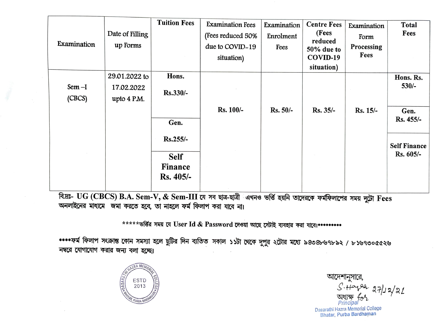|                |                 | <b>Tuition Fees</b> | <b>Examination Fees</b> | Examination | <b>Centre Fees</b> | Examination     | Total                            |
|----------------|-----------------|---------------------|-------------------------|-------------|--------------------|-----------------|----------------------------------|
|                | Date of Filling |                     | (Fees reduced 50%       | Enrolment   | (Fees<br>reduced   | Form            | Fees                             |
| Examination    | up Forms        |                     | due to COVID-19         | Fees        | 50% due to         | Processing      |                                  |
|                |                 |                     | situation)              |             | COVID-19           | Fees            |                                  |
|                |                 |                     |                         |             | situation)         |                 |                                  |
|                | 29.01.2022 to   | Hons.               |                         |             |                    |                 | Hons. Rs.                        |
| Sem-I          | 17.02.2022      | $Rs.330/-$          |                         |             |                    |                 | $530/-$                          |
| (CECS)         | upto 4 P.M.     |                     |                         |             |                    |                 |                                  |
|                |                 |                     | <b>Rs. 100/-</b>        | Rs. 50/-    | Rs. 35/-           | <b>Rs. 15/-</b> | Gen.                             |
|                |                 | Gen.                |                         |             |                    |                 | Rs. 455/-                        |
|                |                 | Rs.255/-            |                         |             |                    |                 |                                  |
|                |                 |                     |                         |             |                    |                 | <b>Self Finance</b><br>Rs. 605/- |
|                |                 | <b>Self</b>         |                         |             |                    |                 |                                  |
|                |                 | <b>Finance</b>      |                         |             |                    |                 |                                  |
|                |                 | Rs. 405/-           |                         |             |                    |                 |                                  |
| $\sim$<br>---- |                 |                     |                         |             |                    |                 |                                  |

বি.দ্রঃ- UG (CBCS) B.A. Sem-V, & Sem-III যে সব ছাত্র-ছাত্রী এখনও ভর্ত্তি হয়নি তাদেরকে ফর্মফিলাপের সময় দুটো Fees অনলাইনের মাধ্যমে জমা করতে হবে, তা নাহলে ফর্ম ফিলাপ করা যাবে না।

\*\*\*\*\* ভর্ত্তির সময় যে User Id & Password দেওয়া আছে সেটাই ব্যবহার করা যাবে।\*\*\*\*\*\*\*\*\*

\*\*\*\*ফর্ম ফিলাপ সংক্রান্ত কোন সমস্যা হলে ছুটির দিন ব্যতিত সকাল ১১টা থেকে দুপুর ২টোর মধ্যে ৯৪৩৪৮৬৭৮৯২ / ৮১৬৭৩০৫৫২৬ নম্বরে যোগাযোগ করার জন্য বলা হচ্ছে।



আদেশানুসারে,  $5.44$ <br> $94.271222$ অধ্যক্ষ  $f_0$ / Principal Dasarathi Hazra Memorial College

Bhatar, Purba Bardhaman